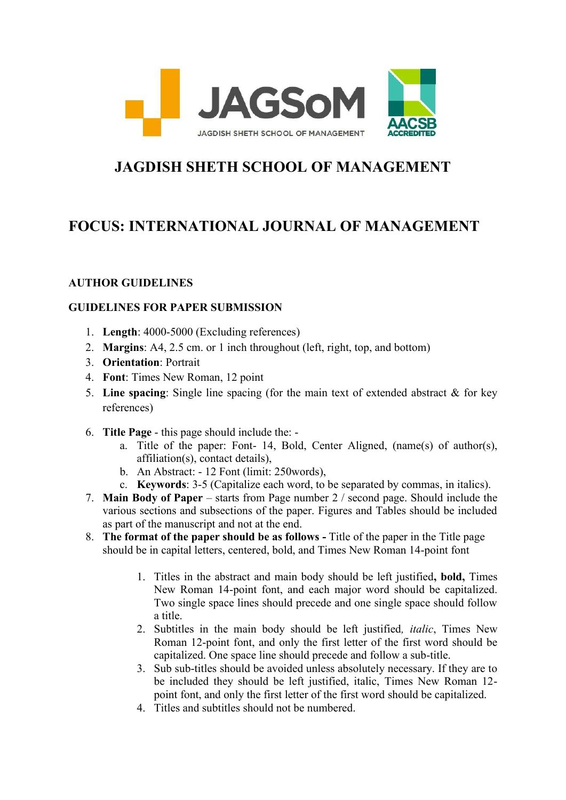

## **JAGDISH SHETH SCHOOL OF MANAGEMENT**

## **FOCUS: INTERNATIONAL JOURNAL OF MANAGEMENT**

## **AUTHOR GUIDELINES**

## **GUIDELINES FOR PAPER SUBMISSION**

- 1. **Length**: 4000-5000 (Excluding references)
- 2. **Margins**: A4, 2.5 cm. or 1 inch throughout (left, right, top, and bottom)
- 3. **Orientation**: Portrait
- 4. **Font**: Times New Roman, 12 point
- 5. **Line spacing**: Single line spacing (for the main text of extended abstract & for key references)
- 6. **Title Page** this page should include the:
	- a. Title of the paper: Font- 14, Bold, Center Aligned, (name(s) of author(s), affiliation(s), contact details),
	- b. An Abstract: 12 Font (limit: 250words),
	- c. **Keywords**: 3-5 (Capitalize each word, to be separated by commas, in italics).
- 7. **Main Body of Paper**  starts from Page number 2 / second page. Should include the various sections and subsections of the paper. Figures and Tables should be included as part of the manuscript and not at the end.
- 8. **The format of the paper should be as follows -** Title of the paper in the Title page should be in capital letters, centered, bold, and Times New Roman 14-point font
	- 1. Titles in the abstract and main body should be left justified**, bold,** Times New Roman 14-point font, and each major word should be capitalized. Two single space lines should precede and one single space should follow a title.
	- 2. Subtitles in the main body should be left justified*, italic*, Times New Roman 12-point font, and only the first letter of the first word should be capitalized. One space line should precede and follow a sub-title.
	- 3. Sub sub-titles should be avoided unless absolutely necessary. If they are to be included they should be left justified, italic, Times New Roman 12 point font, and only the first letter of the first word should be capitalized.
	- 4. Titles and subtitles should not be numbered.